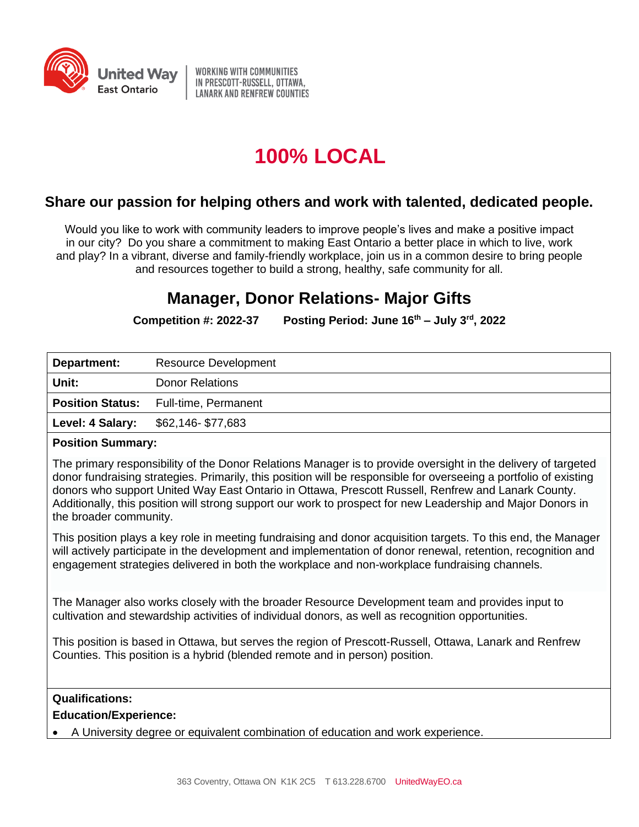

**WORKING WITH COMMUNITIES** IN PRESCOTT-RUSSELL, OTTAWA, **LANARK AND RENFREW COUNTIES** 

# **100% LOCAL**

### **Share our passion for helping others and work with talented, dedicated people.**

Would you like to work with community leaders to improve people's lives and make a positive impact in our city? Do you share a commitment to making East Ontario a better place in which to live, work and play? In a vibrant, diverse and family-friendly workplace, join us in a common desire to bring people and resources together to build a strong, healthy, safe community for all.

## **Manager, Donor Relations- Major Gifts**

**Competition #: 2022-37 Posting Period: June 16th – July 3rd, 2022**

| Department:                        | <b>Resource Development</b>                  |
|------------------------------------|----------------------------------------------|
| Unit:                              | <b>Donor Relations</b>                       |
|                                    | <b>Position Status:</b> Full-time, Permanent |
| Level: 4 Salary: \$62,146-\$77,683 |                                              |
| <b>Docition Cummary</b>            |                                              |

#### **Position Summary:**

The primary responsibility of the Donor Relations Manager is to provide oversight in the delivery of targeted donor fundraising strategies. Primarily, this position will be responsible for overseeing a portfolio of existing donors who support United Way East Ontario in Ottawa, Prescott Russell, Renfrew and Lanark County. Additionally, this position will strong support our work to prospect for new Leadership and Major Donors in the broader community.

This position plays a key role in meeting fundraising and donor acquisition targets. To this end, the Manager will actively participate in the development and implementation of donor renewal, retention, recognition and engagement strategies delivered in both the workplace and non-workplace fundraising channels.

The Manager also works closely with the broader Resource Development team and provides input to cultivation and stewardship activities of individual donors, as well as recognition opportunities.

This position is based in Ottawa, but serves the region of Prescott-Russell, Ottawa, Lanark and Renfrew Counties. This position is a hybrid (blended remote and in person) position.

#### **Qualifications:**

#### **Education/Experience:**

• A University degree or equivalent combination of education and work experience.